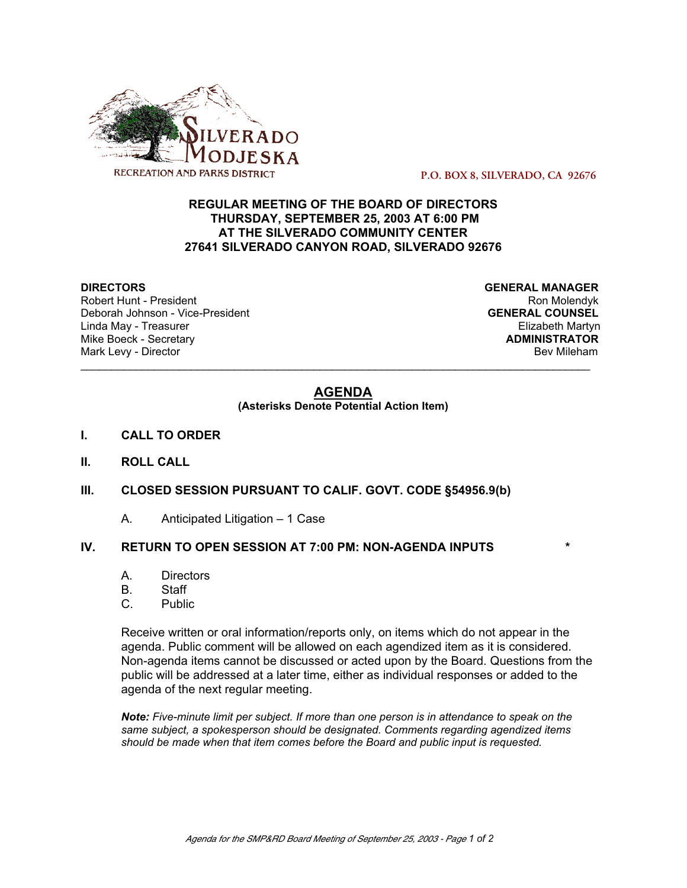

 **P.O. BOX 8, SILVERADO, CA 92676**

## **REGULAR MEETING OF THE BOARD OF DIRECTORS THURSDAY, SEPTEMBER 25, 2003 AT 6:00 PM AT THE SILVERADO COMMUNITY CENTER 27641 SILVERADO CANYON ROAD, SILVERADO 92676**

Robert Hunt - President National Robert Hunt - President National Robert Hunt - Ron Molendyk Deborah Johnson - Vice-President **GENERAL COUNSEL** Linda May - Treasurer Elizabeth Martyn **Mike Boeck - Secretary** Mark Levy - Director **Bev Mileham Mark Levy - Director** Bev Mileham

**DIRECTORS GENERAL MANAGER**

### **AGENDA**

\_\_\_\_\_\_\_\_\_\_\_\_\_\_\_\_\_\_\_\_\_\_\_\_\_\_\_\_\_\_\_\_\_\_\_\_\_\_\_\_\_\_\_\_\_\_\_\_\_\_\_\_\_\_\_\_\_\_\_\_\_\_\_\_\_\_\_\_\_\_\_\_\_\_\_\_\_\_\_\_\_\_\_

**(Asterisks Denote Potential Action Item)**

- **I. CALL TO ORDER**
- **II. ROLL CALL**
- **III. CLOSED SESSION PURSUANT TO CALIF. GOVT. CODE §54956.9(b)**
	- A. Anticipated Litigation 1 Case

### **IV. RETURN TO OPEN SESSION AT 7:00 PM: NON-AGENDA INPUTS \***

- A. Directors
- B. Staff
- C. Public

Receive written or oral information/reports only, on items which do not appear in the agenda. Public comment will be allowed on each agendized item as it is considered. Non-agenda items cannot be discussed or acted upon by the Board. Questions from the public will be addressed at a later time, either as individual responses or added to the agenda of the next regular meeting.

*Note: Five-minute limit per subject. If more than one person is in attendance to speak on the same subject, a spokesperson should be designated. Comments regarding agendized items should be made when that item comes before the Board and public input is requested.*